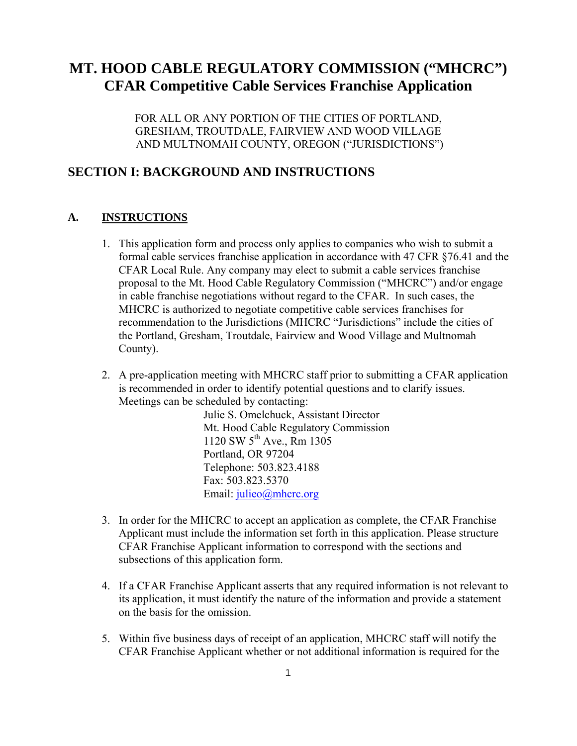# **MT. HOOD CABLE REGULATORY COMMISSION ("MHCRC") CFAR Competitive Cable Services Franchise Application**

FOR ALL OR ANY PORTION OF THE CITIES OF PORTLAND, GRESHAM, TROUTDALE, FAIRVIEW AND WOOD VILLAGE AND MULTNOMAH COUNTY, OREGON ("JURISDICTIONS")

## **SECTION I: BACKGROUND AND INSTRUCTIONS**

## **A. INSTRUCTIONS**

- 1. This application form and process only applies to companies who wish to submit a formal cable services franchise application in accordance with 47 CFR §76.41 and the CFAR Local Rule. Any company may elect to submit a cable services franchise proposal to the Mt. Hood Cable Regulatory Commission ("MHCRC") and/or engage in cable franchise negotiations without regard to the CFAR. In such cases, the MHCRC is authorized to negotiate competitive cable services franchises for recommendation to the Jurisdictions (MHCRC "Jurisdictions" include the cities of the Portland, Gresham, Troutdale, Fairview and Wood Village and Multnomah County).
- 2. A pre-application meeting with MHCRC staff prior to submitting a CFAR application is recommended in order to identify potential questions and to clarify issues. Meetings can be scheduled by contacting:

Julie S. Omelchuck, Assistant Director Mt. Hood Cable Regulatory Commission 1120 SW  $5^{th}$  Ave., Rm 1305 Portland, OR 97204 Telephone: 503.823.4188 Fax: 503.823.5370 Email: julieo@mhcrc.org

- 3. In order for the MHCRC to accept an application as complete, the CFAR Franchise Applicant must include the information set forth in this application. Please structure CFAR Franchise Applicant information to correspond with the sections and subsections of this application form.
- 4. If a CFAR Franchise Applicant asserts that any required information is not relevant to its application, it must identify the nature of the information and provide a statement on the basis for the omission.
- 5. Within five business days of receipt of an application, MHCRC staff will notify the CFAR Franchise Applicant whether or not additional information is required for the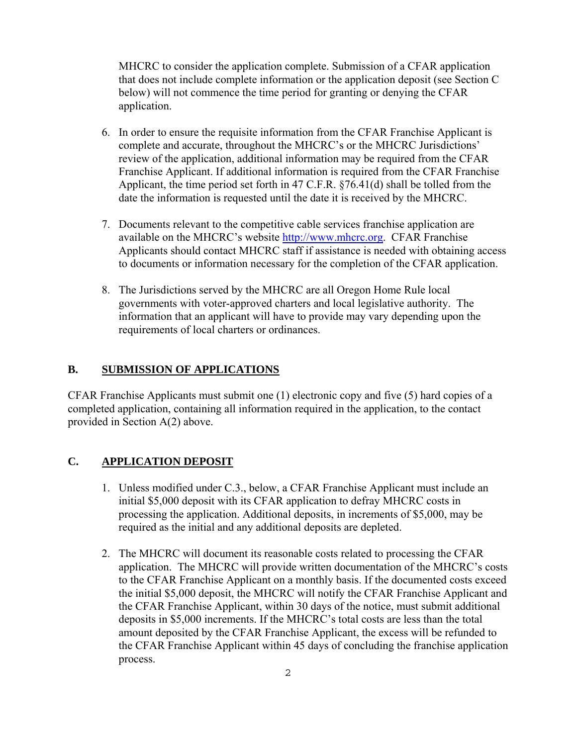MHCRC to consider the application complete. Submission of a CFAR application that does not include complete information or the application deposit (see Section C below) will not commence the time period for granting or denying the CFAR application.

- 6. In order to ensure the requisite information from the CFAR Franchise Applicant is complete and accurate, throughout the MHCRC's or the MHCRC Jurisdictions' review of the application, additional information may be required from the CFAR Franchise Applicant. If additional information is required from the CFAR Franchise Applicant, the time period set forth in 47 C.F.R. §76.41(d) shall be tolled from the date the information is requested until the date it is received by the MHCRC.
- 7. Documents relevant to the competitive cable services franchise application are available on the MHCRC's website http://www.mhcrc.org. CFAR Franchise Applicants should contact MHCRC staff if assistance is needed with obtaining access to documents or information necessary for the completion of the CFAR application.
- 8. The Jurisdictions served by the MHCRC are all Oregon Home Rule local governments with voter-approved charters and local legislative authority. The information that an applicant will have to provide may vary depending upon the requirements of local charters or ordinances.

## **B. SUBMISSION OF APPLICATIONS**

CFAR Franchise Applicants must submit one (1) electronic copy and five (5) hard copies of a completed application, containing all information required in the application, to the contact provided in Section A(2) above.

## **C. APPLICATION DEPOSIT**

- 1. Unless modified under C.3., below, a CFAR Franchise Applicant must include an initial \$5,000 deposit with its CFAR application to defray MHCRC costs in processing the application. Additional deposits, in increments of \$5,000, may be required as the initial and any additional deposits are depleted.
- 2. The MHCRC will document its reasonable costs related to processing the CFAR application. The MHCRC will provide written documentation of the MHCRC's costs to the CFAR Franchise Applicant on a monthly basis. If the documented costs exceed the initial \$5,000 deposit, the MHCRC will notify the CFAR Franchise Applicant and the CFAR Franchise Applicant, within 30 days of the notice, must submit additional deposits in \$5,000 increments. If the MHCRC's total costs are less than the total amount deposited by the CFAR Franchise Applicant, the excess will be refunded to the CFAR Franchise Applicant within 45 days of concluding the franchise application process.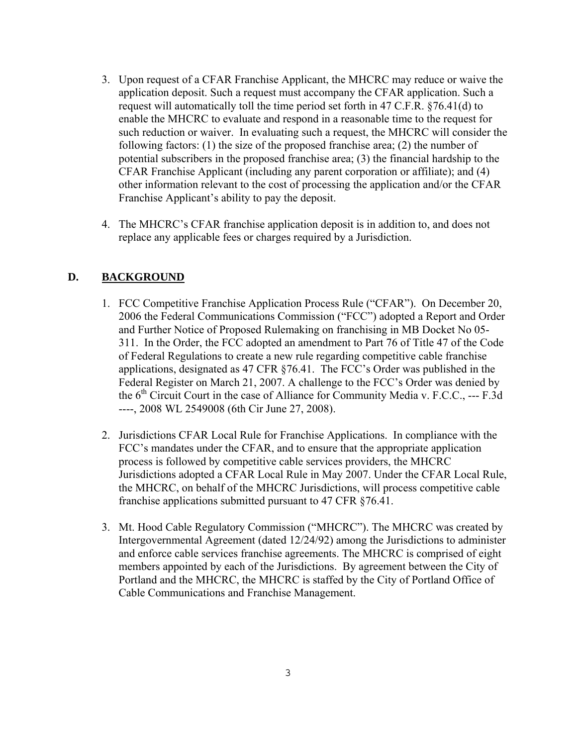- 3. Upon request of a CFAR Franchise Applicant, the MHCRC may reduce or waive the application deposit. Such a request must accompany the CFAR application. Such a request will automatically toll the time period set forth in 47 C.F.R. §76.41(d) to enable the MHCRC to evaluate and respond in a reasonable time to the request for such reduction or waiver. In evaluating such a request, the MHCRC will consider the following factors: (1) the size of the proposed franchise area; (2) the number of potential subscribers in the proposed franchise area; (3) the financial hardship to the CFAR Franchise Applicant (including any parent corporation or affiliate); and (4) other information relevant to the cost of processing the application and/or the CFAR Franchise Applicant's ability to pay the deposit.
- 4. The MHCRC's CFAR franchise application deposit is in addition to, and does not replace any applicable fees or charges required by a Jurisdiction.

## **D. BACKGROUND**

- 1. FCC Competitive Franchise Application Process Rule ("CFAR"). On December 20, 2006 the Federal Communications Commission ("FCC") adopted a Report and Order and Further Notice of Proposed Rulemaking on franchising in MB Docket No 05- 311. In the Order, the FCC adopted an amendment to Part 76 of Title 47 of the Code of Federal Regulations to create a new rule regarding competitive cable franchise applications, designated as 47 CFR §76.41. The FCC's Order was published in the Federal Register on March 21, 2007. A challenge to the FCC's Order was denied by the  $6<sup>th</sup>$  Circuit Court in the case of Alliance for Community Media v. F.C.C., --- F.3d ----, 2008 WL 2549008 (6th Cir June 27, 2008).
- 2. Jurisdictions CFAR Local Rule for Franchise Applications. In compliance with the FCC's mandates under the CFAR, and to ensure that the appropriate application process is followed by competitive cable services providers, the MHCRC Jurisdictions adopted a CFAR Local Rule in May 2007. Under the CFAR Local Rule, the MHCRC, on behalf of the MHCRC Jurisdictions, will process competitive cable franchise applications submitted pursuant to 47 CFR §76.41.
- 3. Mt. Hood Cable Regulatory Commission ("MHCRC"). The MHCRC was created by Intergovernmental Agreement (dated 12/24/92) among the Jurisdictions to administer and enforce cable services franchise agreements. The MHCRC is comprised of eight members appointed by each of the Jurisdictions. By agreement between the City of Portland and the MHCRC, the MHCRC is staffed by the City of Portland Office of Cable Communications and Franchise Management.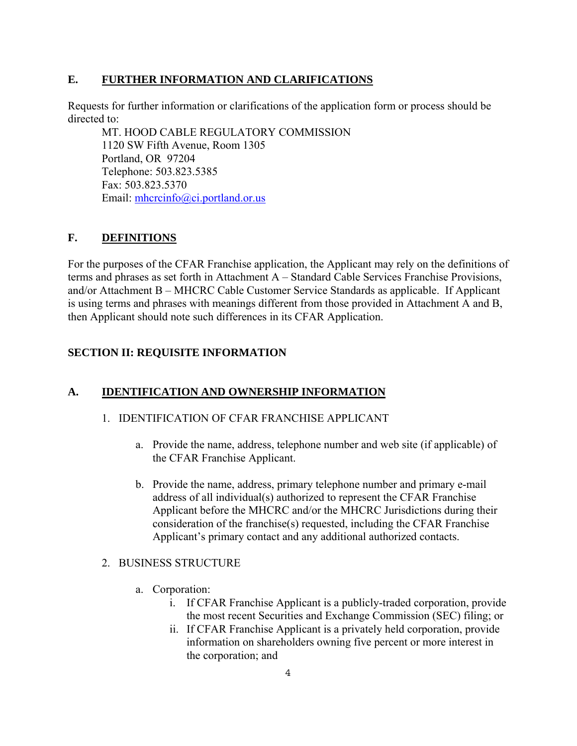## **E. FURTHER INFORMATION AND CLARIFICATIONS**

Requests for further information or clarifications of the application form or process should be directed to:

MT. HOOD CABLE REGULATORY COMMISSION 1120 SW Fifth Avenue, Room 1305 Portland, OR 97204 Telephone: 503.823.5385 Fax: 503.823.5370 Email: mhcrcinfo@ci.portland.or.us

## **F. DEFINITIONS**

For the purposes of the CFAR Franchise application, the Applicant may rely on the definitions of terms and phrases as set forth in Attachment A – Standard Cable Services Franchise Provisions, and/or Attachment B – MHCRC Cable Customer Service Standards as applicable. If Applicant is using terms and phrases with meanings different from those provided in Attachment A and B, then Applicant should note such differences in its CFAR Application.

## **SECTION II: REQUISITE INFORMATION**

## **A. IDENTIFICATION AND OWNERSHIP INFORMATION**

#### 1. IDENTIFICATION OF CFAR FRANCHISE APPLICANT

- a. Provide the name, address, telephone number and web site (if applicable) of the CFAR Franchise Applicant.
- b. Provide the name, address, primary telephone number and primary e-mail address of all individual(s) authorized to represent the CFAR Franchise Applicant before the MHCRC and/or the MHCRC Jurisdictions during their consideration of the franchise(s) requested, including the CFAR Franchise Applicant's primary contact and any additional authorized contacts.

#### 2. BUSINESS STRUCTURE

- a. Corporation:
	- i. If CFAR Franchise Applicant is a publicly-traded corporation, provide the most recent Securities and Exchange Commission (SEC) filing; or
	- ii. If CFAR Franchise Applicant is a privately held corporation, provide information on shareholders owning five percent or more interest in the corporation; and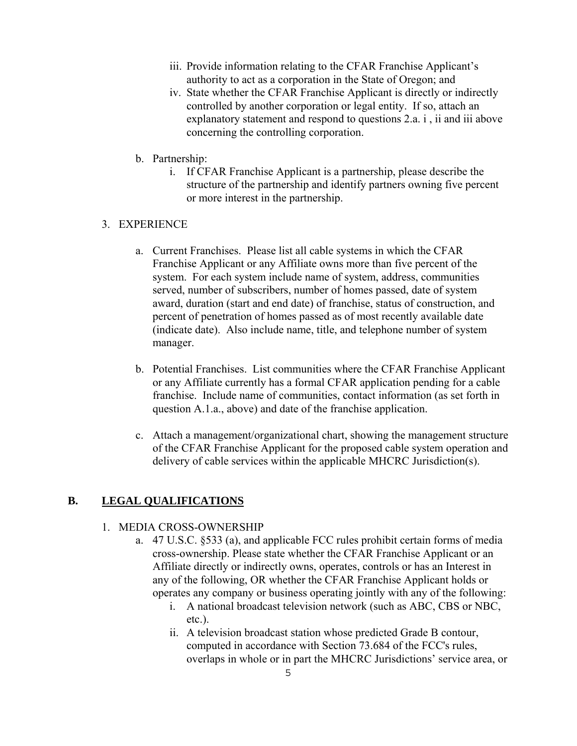- iii. Provide information relating to the CFAR Franchise Applicant's authority to act as a corporation in the State of Oregon; and
- iv. State whether the CFAR Franchise Applicant is directly or indirectly controlled by another corporation or legal entity. If so, attach an explanatory statement and respond to questions 2.a. i , ii and iii above concerning the controlling corporation.
- b. Partnership:
	- i. If CFAR Franchise Applicant is a partnership, please describe the structure of the partnership and identify partners owning five percent or more interest in the partnership.

#### 3. EXPERIENCE

- a. Current Franchises. Please list all cable systems in which the CFAR Franchise Applicant or any Affiliate owns more than five percent of the system. For each system include name of system, address, communities served, number of subscribers, number of homes passed, date of system award, duration (start and end date) of franchise, status of construction, and percent of penetration of homes passed as of most recently available date (indicate date). Also include name, title, and telephone number of system manager.
- b. Potential Franchises. List communities where the CFAR Franchise Applicant or any Affiliate currently has a formal CFAR application pending for a cable franchise. Include name of communities, contact information (as set forth in question A.1.a., above) and date of the franchise application.
- c. Attach a management/organizational chart, showing the management structure of the CFAR Franchise Applicant for the proposed cable system operation and delivery of cable services within the applicable MHCRC Jurisdiction(s).

#### **B. LEGAL QUALIFICATIONS**

#### 1. MEDIA CROSS-OWNERSHIP

- a. 47 U.S.C. §533 (a), and applicable FCC rules prohibit certain forms of media cross-ownership. Please state whether the CFAR Franchise Applicant or an Affiliate directly or indirectly owns, operates, controls or has an Interest in any of the following, OR whether the CFAR Franchise Applicant holds or operates any company or business operating jointly with any of the following:
	- i. A national broadcast television network (such as ABC, CBS or NBC, etc.).
	- ii. A television broadcast station whose predicted Grade B contour, computed in accordance with Section 73.684 of the FCC's rules, overlaps in whole or in part the MHCRC Jurisdictions' service area, or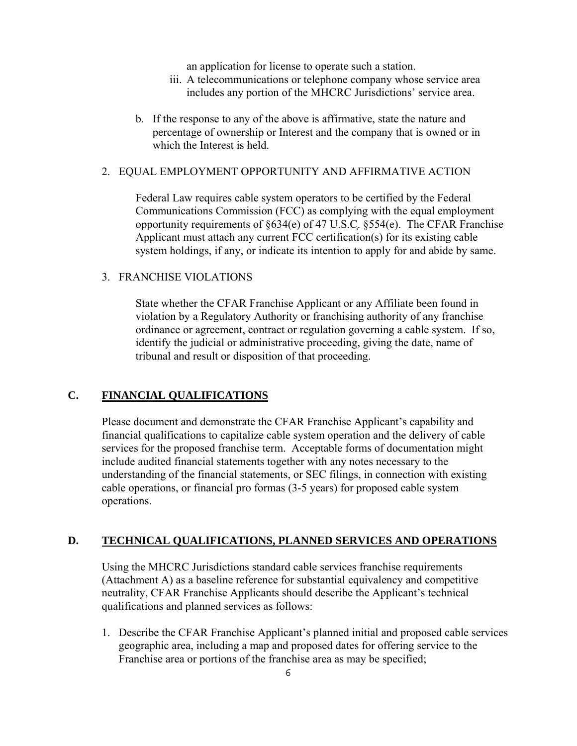an application for license to operate such a station.

- iii. A telecommunications or telephone company whose service area includes any portion of the MHCRC Jurisdictions' service area.
- b. If the response to any of the above is affirmative, state the nature and percentage of ownership or Interest and the company that is owned or in which the Interest is held.

#### 2. EQUAL EMPLOYMENT OPPORTUNITY AND AFFIRMATIVE ACTION

Federal Law requires cable system operators to be certified by the Federal Communications Commission (FCC) as complying with the equal employment opportunity requirements of §634(e) of 47 U.S.C. §554(e). The CFAR Franchise Applicant must attach any current FCC certification(s) for its existing cable system holdings, if any, or indicate its intention to apply for and abide by same.

#### 3. FRANCHISE VIOLATIONS

State whether the CFAR Franchise Applicant or any Affiliate been found in violation by a Regulatory Authority or franchising authority of any franchise ordinance or agreement, contract or regulation governing a cable system. If so, identify the judicial or administrative proceeding, giving the date, name of tribunal and result or disposition of that proceeding.

#### **C. FINANCIAL QUALIFICATIONS**

Please document and demonstrate the CFAR Franchise Applicant's capability and financial qualifications to capitalize cable system operation and the delivery of cable services for the proposed franchise term. Acceptable forms of documentation might include audited financial statements together with any notes necessary to the understanding of the financial statements, or SEC filings, in connection with existing cable operations, or financial pro formas (3-5 years) for proposed cable system operations.

#### **D. TECHNICAL QUALIFICATIONS, PLANNED SERVICES AND OPERATIONS**

Using the MHCRC Jurisdictions standard cable services franchise requirements (Attachment A) as a baseline reference for substantial equivalency and competitive neutrality, CFAR Franchise Applicants should describe the Applicant's technical qualifications and planned services as follows:

1. Describe the CFAR Franchise Applicant's planned initial and proposed cable services geographic area, including a map and proposed dates for offering service to the Franchise area or portions of the franchise area as may be specified;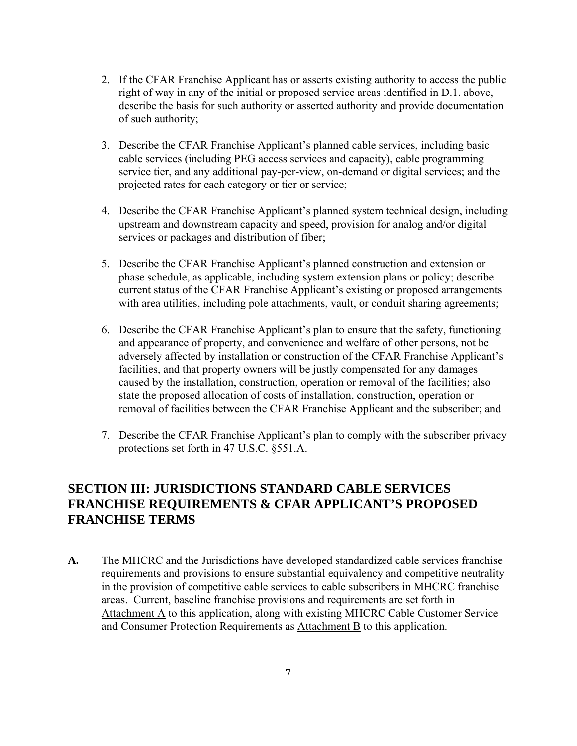- 2. If the CFAR Franchise Applicant has or asserts existing authority to access the public right of way in any of the initial or proposed service areas identified in D.1. above, describe the basis for such authority or asserted authority and provide documentation of such authority;
- 3. Describe the CFAR Franchise Applicant's planned cable services, including basic cable services (including PEG access services and capacity), cable programming service tier, and any additional pay-per-view, on-demand or digital services; and the projected rates for each category or tier or service;
- 4. Describe the CFAR Franchise Applicant's planned system technical design, including upstream and downstream capacity and speed, provision for analog and/or digital services or packages and distribution of fiber;
- 5. Describe the CFAR Franchise Applicant's planned construction and extension or phase schedule, as applicable, including system extension plans or policy; describe current status of the CFAR Franchise Applicant's existing or proposed arrangements with area utilities, including pole attachments, vault, or conduit sharing agreements;
- 6. Describe the CFAR Franchise Applicant's plan to ensure that the safety, functioning and appearance of property, and convenience and welfare of other persons, not be adversely affected by installation or construction of the CFAR Franchise Applicant's facilities, and that property owners will be justly compensated for any damages caused by the installation, construction, operation or removal of the facilities; also state the proposed allocation of costs of installation, construction, operation or removal of facilities between the CFAR Franchise Applicant and the subscriber; and
- 7. Describe the CFAR Franchise Applicant's plan to comply with the subscriber privacy protections set forth in 47 U.S.C. §551.A.

## **SECTION III: JURISDICTIONS STANDARD CABLE SERVICES FRANCHISE REQUIREMENTS & CFAR APPLICANT'S PROPOSED FRANCHISE TERMS**

**A.** The MHCRC and the Jurisdictions have developed standardized cable services franchise requirements and provisions to ensure substantial equivalency and competitive neutrality in the provision of competitive cable services to cable subscribers in MHCRC franchise areas. Current, baseline franchise provisions and requirements are set forth in Attachment A to this application, along with existing MHCRC Cable Customer Service and Consumer Protection Requirements as Attachment B to this application.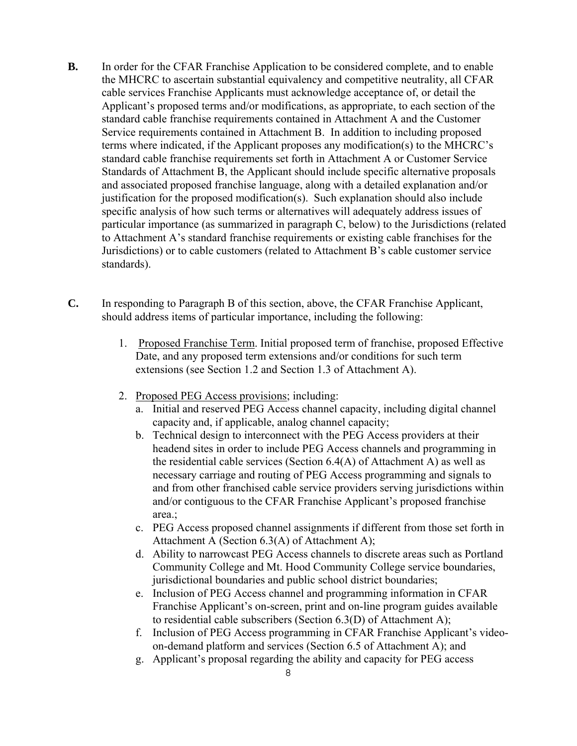- **B.** In order for the CFAR Franchise Application to be considered complete, and to enable the MHCRC to ascertain substantial equivalency and competitive neutrality, all CFAR cable services Franchise Applicants must acknowledge acceptance of, or detail the Applicant's proposed terms and/or modifications, as appropriate, to each section of the standard cable franchise requirements contained in Attachment A and the Customer Service requirements contained in Attachment B. In addition to including proposed terms where indicated, if the Applicant proposes any modification(s) to the MHCRC's standard cable franchise requirements set forth in Attachment A or Customer Service Standards of Attachment B, the Applicant should include specific alternative proposals and associated proposed franchise language, along with a detailed explanation and/or justification for the proposed modification(s). Such explanation should also include specific analysis of how such terms or alternatives will adequately address issues of particular importance (as summarized in paragraph C, below) to the Jurisdictions (related to Attachment A's standard franchise requirements or existing cable franchises for the Jurisdictions) or to cable customers (related to Attachment B's cable customer service standards).
- **C.** In responding to Paragraph B of this section, above, the CFAR Franchise Applicant, should address items of particular importance, including the following:
	- 1. Proposed Franchise Term. Initial proposed term of franchise, proposed Effective Date, and any proposed term extensions and/or conditions for such term extensions (see Section 1.2 and Section 1.3 of Attachment A).
	- 2. Proposed PEG Access provisions; including:
		- a. Initial and reserved PEG Access channel capacity, including digital channel capacity and, if applicable, analog channel capacity;
		- b. Technical design to interconnect with the PEG Access providers at their headend sites in order to include PEG Access channels and programming in the residential cable services (Section 6.4(A) of Attachment A) as well as necessary carriage and routing of PEG Access programming and signals to and from other franchised cable service providers serving jurisdictions within and/or contiguous to the CFAR Franchise Applicant's proposed franchise area.;
		- c. PEG Access proposed channel assignments if different from those set forth in Attachment A (Section 6.3(A) of Attachment A);
		- d. Ability to narrowcast PEG Access channels to discrete areas such as Portland Community College and Mt. Hood Community College service boundaries, jurisdictional boundaries and public school district boundaries;
		- e. Inclusion of PEG Access channel and programming information in CFAR Franchise Applicant's on-screen, print and on-line program guides available to residential cable subscribers (Section 6.3(D) of Attachment A);
		- f. Inclusion of PEG Access programming in CFAR Franchise Applicant's videoon-demand platform and services (Section 6.5 of Attachment A); and
		- g. Applicant's proposal regarding the ability and capacity for PEG access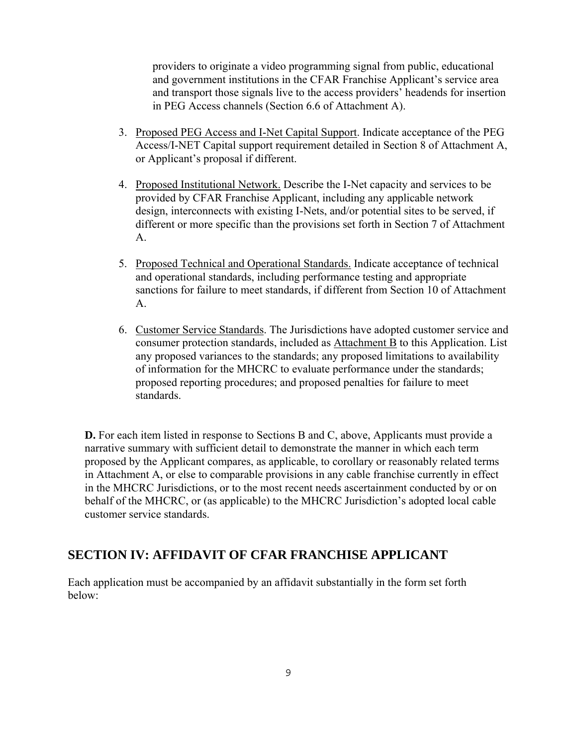providers to originate a video programming signal from public, educational and government institutions in the CFAR Franchise Applicant's service area and transport those signals live to the access providers' headends for insertion in PEG Access channels (Section 6.6 of Attachment A).

- 3. Proposed PEG Access and I-Net Capital Support. Indicate acceptance of the PEG Access/I-NET Capital support requirement detailed in Section 8 of Attachment A, or Applicant's proposal if different.
- 4. Proposed Institutional Network. Describe the I-Net capacity and services to be provided by CFAR Franchise Applicant, including any applicable network design, interconnects with existing I-Nets, and/or potential sites to be served, if different or more specific than the provisions set forth in Section 7 of Attachment A.
- 5. Proposed Technical and Operational Standards. Indicate acceptance of technical and operational standards, including performance testing and appropriate sanctions for failure to meet standards, if different from Section 10 of Attachment A.
- 6. Customer Service Standards. The Jurisdictions have adopted customer service and consumer protection standards, included as Attachment B to this Application. List any proposed variances to the standards; any proposed limitations to availability of information for the MHCRC to evaluate performance under the standards; proposed reporting procedures; and proposed penalties for failure to meet standards.

**D.** For each item listed in response to Sections B and C, above, Applicants must provide a narrative summary with sufficient detail to demonstrate the manner in which each term proposed by the Applicant compares, as applicable, to corollary or reasonably related terms in Attachment A, or else to comparable provisions in any cable franchise currently in effect in the MHCRC Jurisdictions, or to the most recent needs ascertainment conducted by or on behalf of the MHCRC, or (as applicable) to the MHCRC Jurisdiction's adopted local cable customer service standards.

## **SECTION IV: AFFIDAVIT OF CFAR FRANCHISE APPLICANT**

Each application must be accompanied by an affidavit substantially in the form set forth below: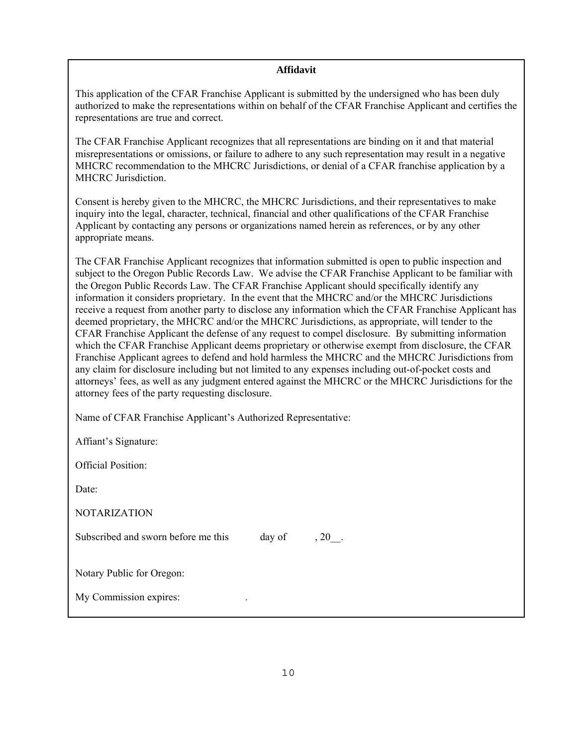#### **Affidavit**

This application of the CFAR Franchise Applicant is submitted by the undersigned who has been duly authorized to make the representations within on behalf of the CFAR Franchise Applicant and certifies the representations are true and correct.

The CFAR Franchise Applicant recognizes that all representations are binding on it and that material misrepresentations or omissions, or failure to adhere to any such representation may result in a negative MHCRC recommendation to the MHCRC Jurisdictions, or denial of a CFAR franchise application by a MHCRC Jurisdiction.

Consent is hereby given to the MHCRC, the MHCRC Jurisdictions, and their representatives to make inquiry into the legal, character, technical, financial and other qualifications of the CFAR Franchise Applicant by contacting any persons or organizations named herein as references, or by any other appropriate means.

The CFAR Franchise Applicant recognizes that information submitted is open to public inspection and subject to the Oregon Public Records Law. We advise the CFAR Franchise Applicant to be familiar with the Oregon Public Records Law. The CFAR Franchise Applicant should specifically identify any information it considers proprietary. In the event that the MHCRC and/or the MHCRC Jurisdictions receive a request from another party to disclose any information which the CFAR Franchise Applicant has deemed proprietary, the MHCRC and/or the MHCRC Jurisdictions, as appropriate, will tender to the CFAR Franchise Applicant the defense of any request to compel disclosure. By submitting information which the CFAR Franchise Applicant deems proprietary or otherwise exempt from disclosure, the CFAR Franchise Applicant agrees to defend and hold harmless the MHCRC and the MHCRC Jurisdictions from any claim for disclosure including but not limited to any expenses including out-of-pocket costs and attorneys' fees, as well as any judgment entered against the MHCRC or the MHCRC Jurisdictions for the attorney fees of the party requesting disclosure.

Name of CFAR Franchise Applicant's Authorized Representative:

Affiant's Signature:

Official Position:

Date:

NOTARIZATION

Subscribed and sworn before me this day of , 20.

Notary Public for Oregon:

My Commission expires: